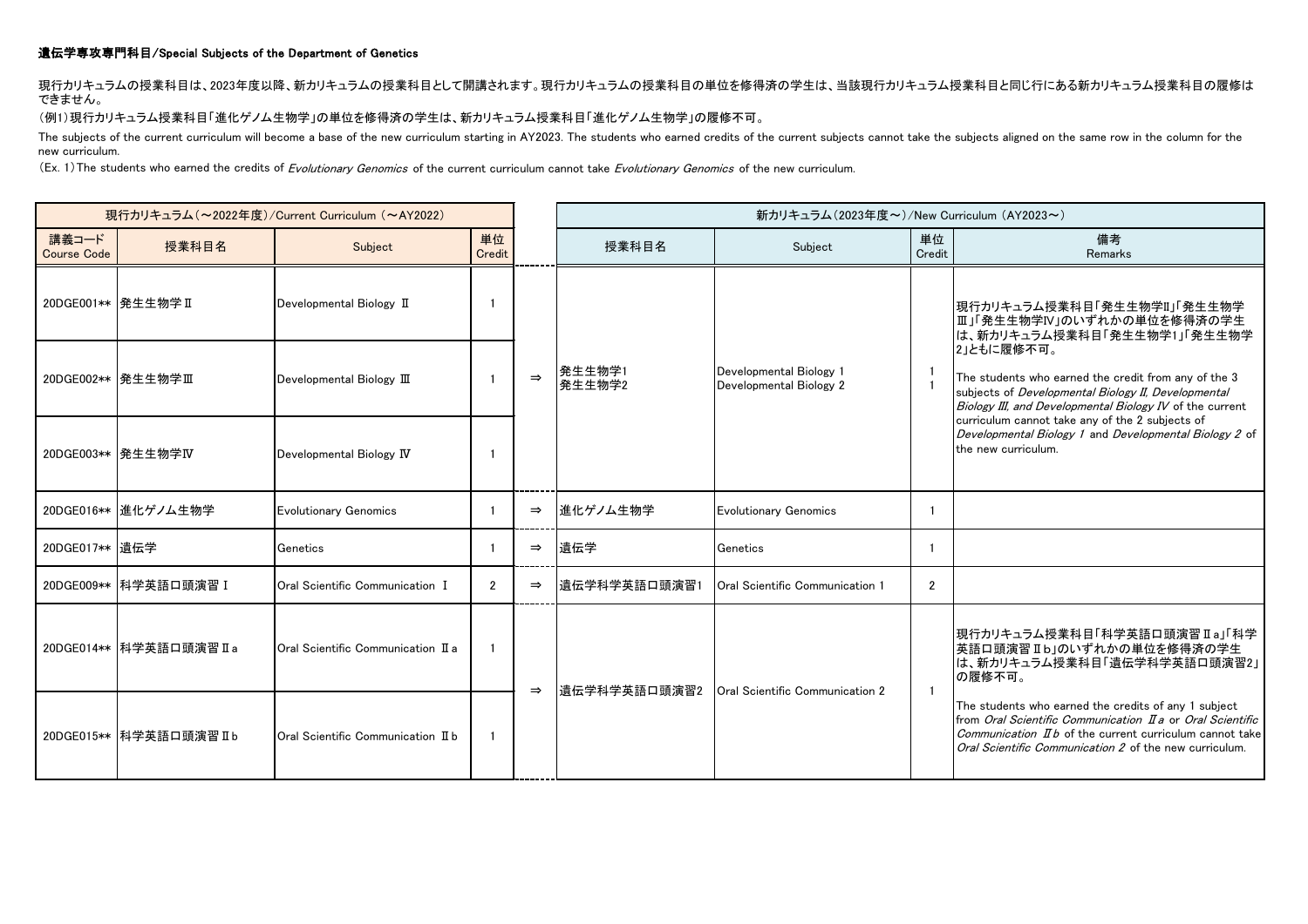## 遺伝学専攻専門科目/Special Subjects of the Department of Genetics

現行カリキュラムの授業科目は、2023年度以降、新カリキュラムの授業科目として開講されます。現行カリキュラムの授業科目の単位を修得済の学生は、当該現行カリキュラム授業科目と同じ行にある新カリキュラム授業科目の履修は できません。

(例1)現行カリキュラム授業科目「進化ゲノム生物学」の単位を修得済の学生は、新カリキュラム授業科目「進化ゲノム生物学」の履修不可。

The subjects of the current curriculum will become a base of the new curriculum starting in AY2023. The students who earned credits of the current subjects cannot take the subjects aligned on the same row in the column for new curriculum.

(Ex. 1) The students who earned the credits of Evolutionary Genomics of the current curriculum cannot take Evolutionary Genomics of the new curriculum.

| 現行カリキュラム (~2022年度)/Current Curriculum (~AY2022) |                          |                                           |                |               |                                   | 新カリキュラム(2023年度~)/New Curriculum (AY2023~)          |                                                                                                                                  |                                                                                                                                                                                                                                                                                                                                                        |
|-------------------------------------------------|--------------------------|-------------------------------------------|----------------|---------------|-----------------------------------|----------------------------------------------------|----------------------------------------------------------------------------------------------------------------------------------|--------------------------------------------------------------------------------------------------------------------------------------------------------------------------------------------------------------------------------------------------------------------------------------------------------------------------------------------------------|
| 講義コード<br><b>Course Code</b>                     | 授業科目名                    | Subject                                   | 単位<br>Credit   |               | 授業科目名                             | Subject                                            | 単位<br>Credit                                                                                                                     | 備考<br>Remarks                                                                                                                                                                                                                                                                                                                                          |
|                                                 | 20DGE001** 発生生物学 II      | Developmental Biology II                  |                |               | 発生生物学1<br>$\Rightarrow$<br>発生生物学2 | Developmental Biology 1<br>Developmental Biology 2 | - 1                                                                                                                              | 現行カリキュラム授業科目「発生生物学II」「発生生物学<br> Ⅲ」「発生生物学Ⅳ」のいずれかの単位を修得済の学生<br>は、新カリキュラム授業科目「発生生物学1」「発生生物学<br>2」ともに履修不可。<br>The students who earned the credit from any of the 3<br>subjects of Developmental Biology II, Developmental<br>Biology III, and Developmental Biology IV of the current                                                                      |
|                                                 | 20DGE002** 発生生物学Ⅲ        | Developmental Biology III                 |                |               |                                   |                                                    |                                                                                                                                  |                                                                                                                                                                                                                                                                                                                                                        |
|                                                 | 20DGE003**  発生生物学IV      | Developmental Biology IV                  |                |               |                                   |                                                    | curriculum cannot take any of the 2 subjects of<br>Developmental Biology 1 and Developmental Biology 2 of<br>the new curriculum. |                                                                                                                                                                                                                                                                                                                                                        |
|                                                 | 20DGE016** 進化ゲノム生物学      | <b>Evolutionary Genomics</b>              |                | $\Rightarrow$ | 進化ゲノム生物学                          | <b>Evolutionary Genomics</b>                       |                                                                                                                                  |                                                                                                                                                                                                                                                                                                                                                        |
| 20DGE017** 遗伝学                                  |                          | Genetics                                  |                | $\Rightarrow$ | 遺伝学                               | Genetics                                           |                                                                                                                                  |                                                                                                                                                                                                                                                                                                                                                        |
|                                                 | 20DGE009** 科学英語口頭演習 I    | Oral Scientific Communication I           | $\overline{2}$ | $\Rightarrow$ | 遺伝学科学英語口頭演習1                      | Oral Scientific Communication 1                    | $\overline{2}$                                                                                                                   |                                                                                                                                                                                                                                                                                                                                                        |
|                                                 | 20DGE014** 科学英語口頭演習 II a | <b>Oral Scientific Communication II a</b> |                | $\Rightarrow$ | 遺伝学科学英語口頭演習2                      | Oral Scientific Communication 2                    | $\overline{1}$                                                                                                                   | 現行カリキュラム授業科目「科学英語口頭演習Ⅱa」「科学<br>英語口頭演習 II b」のいずれかの単位を修得済の学生<br>は、新カリキュラム授業科目「遺伝学科学英語口頭演習2」<br>の履修不可。<br>The students who earned the credits of any 1 subject<br>from Oral Scientific Communication II a or Oral Scientific<br><i>Communication II b</i> of the current curriculum cannot take<br>Oral Scientific Communication 2 of the new curriculum. |
|                                                 | 20DGE015** 科学英語口頭演習 II b | Oral Scientific Communication II b        |                |               |                                   |                                                    |                                                                                                                                  |                                                                                                                                                                                                                                                                                                                                                        |